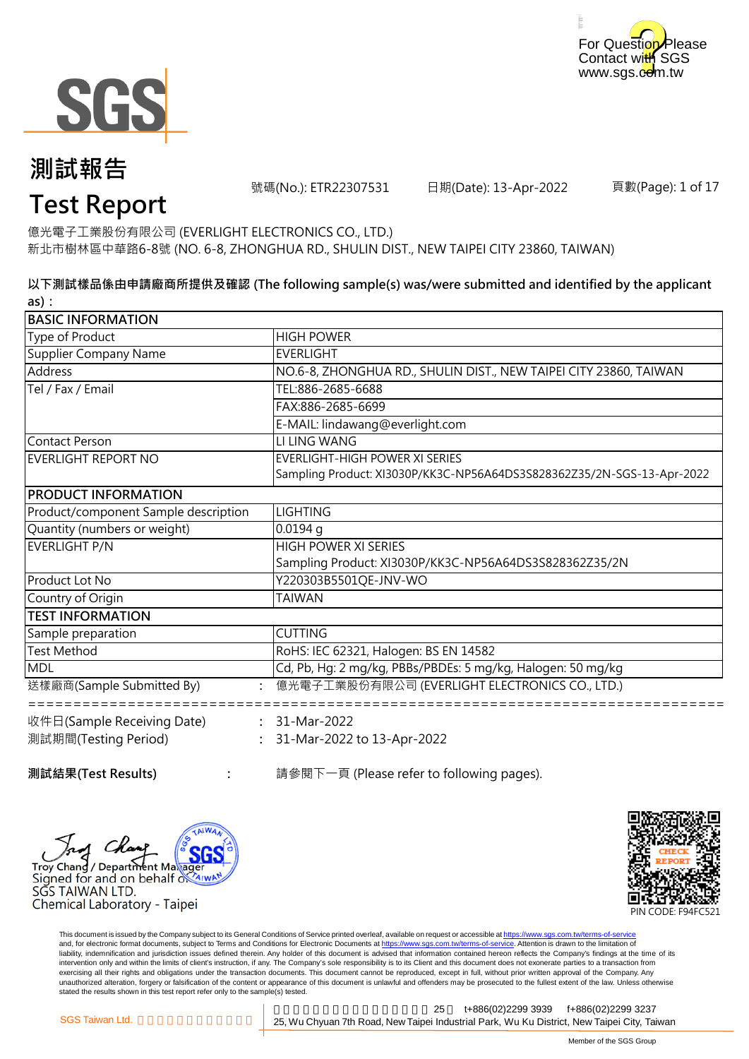



號碼(No.): ETR22307531 日期(Date): 13-Apr-2022

頁數(Page): 1 of 17

# **Test Report**

億光電子工業股份有限公司 (EVERLIGHT ELECTRONICS CO., LTD.) 新北市樹林區中華路6-8號 (NO. 6-8, ZHONGHUA RD., SHULIN DIST., NEW TAIPEI CITY 23860, TAIWAN)

**以下測試樣品係由申請廠商所提供及確認 (The following sample(s) was/were submitted and identified by the applicant as):**

| <b>BASIC INFORMATION</b>             |                                                                        |
|--------------------------------------|------------------------------------------------------------------------|
| Type of Product                      | <b>HIGH POWER</b>                                                      |
| <b>Supplier Company Name</b>         | <b>EVERLIGHT</b>                                                       |
| <b>Address</b>                       | NO.6-8, ZHONGHUA RD., SHULIN DIST., NEW TAIPEI CITY 23860, TAIWAN      |
| Tel / Fax / Email                    | TEL:886-2685-6688                                                      |
|                                      | FAX:886-2685-6699                                                      |
|                                      | E-MAIL: lindawang@everlight.com                                        |
| <b>Contact Person</b>                | LI LING WANG                                                           |
| <b>EVERLIGHT REPORT NO</b>           | <b>EVERLIGHT-HIGH POWER XI SERIES</b>                                  |
|                                      | Sampling Product: XI3030P/KK3C-NP56A64DS3S828362Z35/2N-SGS-13-Apr-2022 |
| PRODUCT INFORMATION                  |                                                                        |
| Product/component Sample description | <b>LIGHTING</b>                                                        |
| Quantity (numbers or weight)         | $0.0194$ g                                                             |
| <b>EVERLIGHT P/N</b>                 | <b>HIGH POWER XI SERIES</b>                                            |
|                                      | Sampling Product: XI3030P/KK3C-NP56A64DS3S828362Z35/2N                 |
| Product Lot No                       | Y220303B5501QE-JNV-WO                                                  |
| Country of Origin                    | <b>TAIWAN</b>                                                          |
| <b>TEST INFORMATION</b>              |                                                                        |
| Sample preparation                   | <b>CUTTING</b>                                                         |
| <b>Test Method</b>                   | RoHS: IEC 62321, Halogen: BS EN 14582                                  |
| <b>MDL</b>                           | Cd, Pb, Hg: 2 mg/kg, PBBs/PBDEs: 5 mg/kg, Halogen: 50 mg/kg            |
| 送樣廠商(Sample Submitted By)            | 億光電子工業股份有限公司 (EVERLIGHT ELECTRONICS CO., LTD.)                         |
| 收件日(Sample Receiving Date)           | $: 31-Mar-2022$                                                        |
| 測試期間(Testing Period)                 | 31-Mar-2022 to 13-Apr-2022                                             |
| 測試結果(Test Results)                   | 請參閱下一頁 (Please refer to following pages).                              |





This document is issued by the Company subject to its General Conditions of Service printed overleaf, available on request or accessible at https://www.sgs.com.tw/terms-of-service and, for electronic format documents, subject to Terms and Conditions for Electronic Documents at https://www.sgs.com.tw/terms-of-service. Attention is drawn to the limitation of liability, indemnification and jurisdiction issues defined therein. Any holder of this document is advised that information contained hereon reflects the Company's findings at the time of its intervention only and within the limits of client's instruction, if any. The Company's sole responsibility is to its Client and this document does not exonerate parties to a transaction from exercising all their rights and obligations under the transaction documents. This document cannot be reproduced, except in full, without prior written approval of the Company. Any<br>unauthorized alteration, forgery or falsif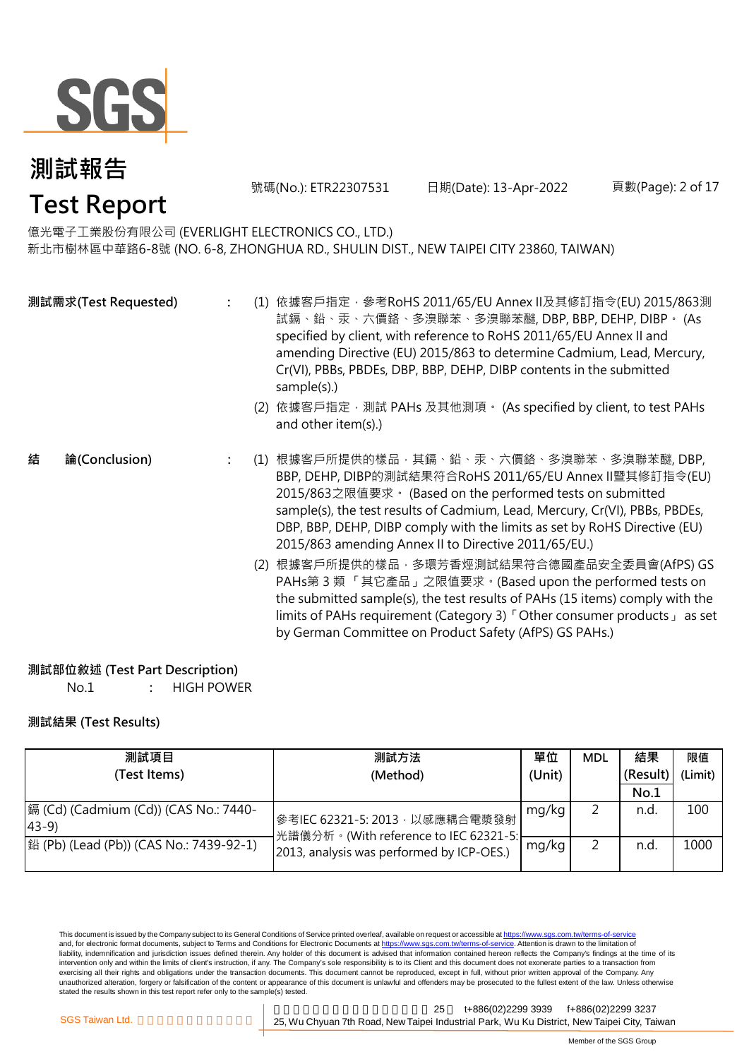

號碼(No.): ETR22307531 日期(Date): 13-Apr-2022 頁數(Page): 2 of 17

### 億光電子工業股份有限公司 (EVERLIGHT ELECTRONICS CO., LTD.)

新北市樹林區中華路6-8號 (NO. 6-8, ZHONGHUA RD., SHULIN DIST., NEW TAIPEI CITY 23860, TAIWAN)

|   | 測試需求(Test Requested) |     | (1) 依據客戶指定,參考RoHS 2011/65/EU Annex II及其修訂指令(EU) 2015/863測<br>試鎘、鉛、汞、六價鉻、多溴聯苯、多溴聯苯醚, DBP, BBP, DEHP, DIBP。 (As<br>specified by client, with reference to RoHS 2011/65/EU Annex II and<br>amending Directive (EU) 2015/863 to determine Cadmium, Lead, Mercury,<br>Cr(VI), PBBs, PBDEs, DBP, BBP, DEHP, DIBP contents in the submitted<br>sample(s).)<br>(2) 依據客戶指定, 測試 PAHs 及其他測項。 (As specified by client, to test PAHs<br>and other item(s).) |
|---|----------------------|-----|------------------------------------------------------------------------------------------------------------------------------------------------------------------------------------------------------------------------------------------------------------------------------------------------------------------------------------------------------------------------------------------------------------------------------------------------|
| 結 | 論(Conclusion)        | (1) | 根據客戶所提供的樣品,其鎘、鉛、汞、六價鉻、多溴聯苯、多溴聯苯醚, DBP,<br>BBP, DEHP, DIBP的測試結果符合RoHS 2011/65/EU Annex II暨其修訂指令(EU)<br>2015/863之限值要求。(Based on the performed tests on submitted<br>sample(s), the test results of Cadmium, Lead, Mercury, Cr(VI), PBBs, PBDEs,<br>DBP, BBP, DEHP, DIBP comply with the limits as set by RoHS Directive (EU)<br>2015/863 amending Annex II to Directive 2011/65/EU.)                                                             |
|   |                      |     | (2) 根據客戶所提供的樣品,多環芳香烴測試結果符合德國產品安全委員會(AfPS) GS<br>PAHs第 3 類 「其它產品」之限值要求。(Based upon the performed tests on<br>the submitted sample(s), the test results of PAHs (15 items) comply with the<br>limits of PAHs requirement (Category 3) <sup>F</sup> Other consumer products as set<br>by German Committee on Product Safety (AfPS) GS PAHs.)                                                                                                      |

#### **測試部位敘述 (Test Part Description)**

No.1 **:** HIGH POWER

#### **測試結果 (Test Results)**

| 測試項目                                              | 測試方法                                                                    | 單位    | <b>MDL</b> | 結果       | 限值      |
|---------------------------------------------------|-------------------------------------------------------------------------|-------|------------|----------|---------|
| (Test Items)                                      | (Unit)<br>(Method)                                                      |       |            | (Result) | (Limit) |
|                                                   |                                                                         |       |            | No.1     |         |
| 鎘 (Cd) (Cadmium (Cd)) (CAS No.: 7440-<br>$(43-9)$ | 參考IEC 62321-5: 2013, 以感應耦合電漿發射<br>光譜儀分析。(With reference to IEC 62321-5: | mg/kg |            | n.d.     | 100     |
| 鉛 (Pb) (Lead (Pb)) (CAS No.: 7439-92-1)           | 2013, analysis was performed by ICP-OES.)                               | mg/kg |            | n.d      | 1000    |

This document is issued by the Company subject to its General Conditions of Service printed overleaf, available on request or accessible at <u>https://www.sgs.com.tw/terms-of-service</u><br>and, for electronic format documents, su liability, indemnification and jurisdiction issues defined therein. Any holder of this document is advised that information contained hereon reflects the Company's findings at the time of its intervention only and within the limits of client's instruction, if any. The Company's sole responsibility is to its Client and this document does not exonerate parties to a transaction from exercising all their rights and obligations under the transaction documents. This document cannot be reproduced, except in full, without prior written approval of the Company. Any<br>unauthorized alteration, forgery or falsif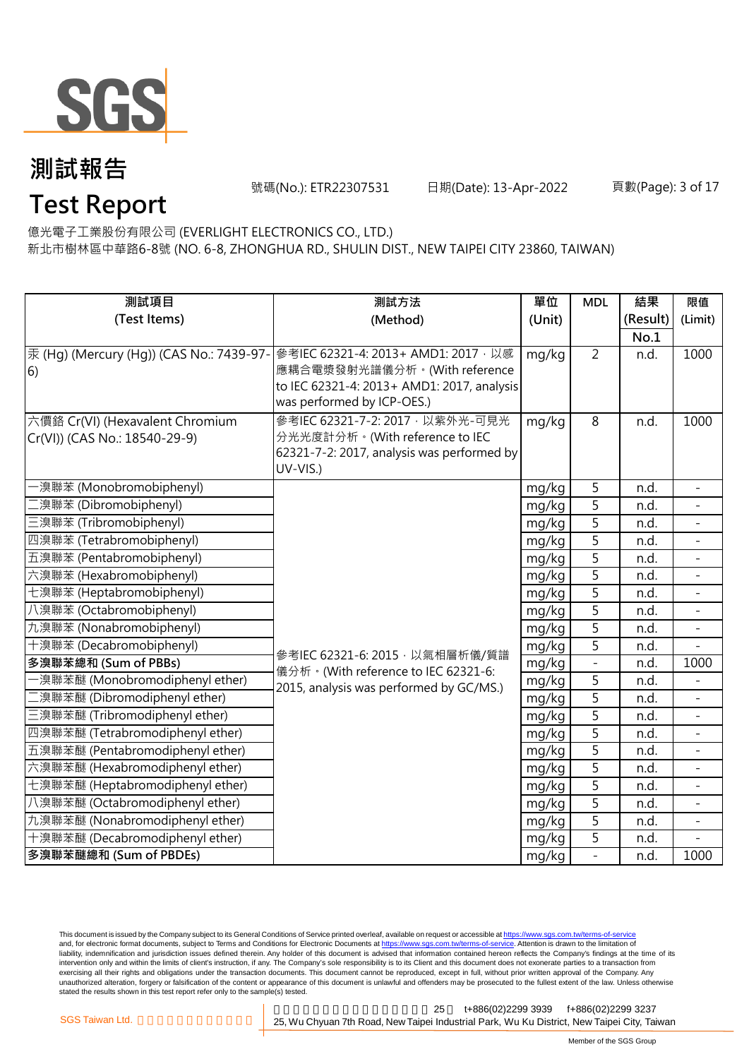

號碼(No.): ETR22307531 日期(Date): 13-Apr-2022 頁數(Page): 3 of 17

# **Test Report**

億光電子工業股份有限公司 (EVERLIGHT ELECTRONICS CO., LTD.) 新北市樹林區中華路6-8號 (NO. 6-8, ZHONGHUA RD., SHULIN DIST., NEW TAIPEI CITY 23860, TAIWAN)

| 測試項目                                     | 測試方法                                                                         | 單位     | <b>MDL</b>     | 結果       | 限值                           |
|------------------------------------------|------------------------------------------------------------------------------|--------|----------------|----------|------------------------------|
| (Test Items)                             | (Method)                                                                     | (Unit) |                | (Result) | (Limit)                      |
|                                          |                                                                              |        |                | No.1     |                              |
| 汞 (Hg) (Mercury (Hg)) (CAS No.: 7439-97- | 參考IEC 62321-4: 2013+ AMD1: 2017, 以感                                          | mg/kg  | $\overline{2}$ | n.d.     | 1000                         |
| 6)                                       | 應耦合電漿發射光譜儀分析。(With reference                                                 |        |                |          |                              |
|                                          | to IEC 62321-4: 2013+ AMD1: 2017, analysis                                   |        |                |          |                              |
|                                          | was performed by ICP-OES.)                                                   |        |                |          |                              |
| 六價鉻 Cr(VI) (Hexavalent Chromium          | 參考IEC 62321-7-2: 2017 · 以紫外光-可見光                                             | mg/kg  | 8              | n.d.     | 1000                         |
| Cr(VI)) (CAS No.: 18540-29-9)            | 分光光度計分析。(With reference to IEC<br>62321-7-2: 2017, analysis was performed by |        |                |          |                              |
|                                          | UV-VIS.)                                                                     |        |                |          |                              |
| -溴聯苯 (Monobromobiphenyl)                 |                                                                              | mg/kg  | 5              | n.d.     |                              |
| 二溴聯苯 (Dibromobiphenyl)                   |                                                                              | mg/kg  | 5              | n.d.     |                              |
| 三溴聯苯 (Tribromobiphenyl)                  |                                                                              | mg/kg  | 5              | n.d.     | $\qquad \qquad \blacksquare$ |
| 四溴聯苯 (Tetrabromobiphenyl)                |                                                                              | mg/kg  | $\overline{5}$ | n.d.     | $\overline{\phantom{a}}$     |
| 五溴聯苯 (Pentabromobiphenyl)                |                                                                              | mg/kg  | $\overline{5}$ | n.d.     | $\overline{\phantom{0}}$     |
| 六溴聯苯 (Hexabromobiphenyl)                 |                                                                              | mg/kg  | $\overline{5}$ | n.d.     |                              |
| 七溴聯苯 (Heptabromobiphenyl)                |                                                                              | mg/kg  | 5              | n.d.     | $\overline{\phantom{0}}$     |
| 八溴聯苯 (Octabromobiphenyl)                 |                                                                              | mg/kg  | 5              | n.d.     |                              |
| 九溴聯苯 (Nonabromobiphenyl)                 |                                                                              | mg/kg  | 5              | n.d.     |                              |
| 十溴聯苯 (Decabromobiphenyl)                 |                                                                              | mg/kg  | 5              | n.d.     |                              |
| 多溴聯苯總和 (Sum of PBBs)                     | 參考IEC 62321-6: 2015, 以氣相層析儀/質譜<br>儀分析。(With reference to IEC 62321-6:        | mg/kg  | $\overline{a}$ | n.d.     | 1000                         |
| ·溴聯苯醚 (Monobromodiphenyl ether)          | 2015, analysis was performed by GC/MS.)                                      | mg/kg  | 5              | n.d.     |                              |
| 二溴聯苯醚 (Dibromodiphenyl ether)            |                                                                              | mg/kg  | $\overline{5}$ | n.d.     |                              |
| 三溴聯苯醚 (Tribromodiphenyl ether)           |                                                                              | mg/kg  | $\overline{5}$ | n.d.     | $\bar{ }$                    |
| 四溴聯苯醚 (Tetrabromodiphenyl ether)         |                                                                              | mg/kg  | $\overline{5}$ | n.d.     | $\overline{a}$               |
| 五溴聯苯醚 (Pentabromodiphenyl ether)         |                                                                              | mg/kg  | 5              | n.d.     |                              |
| 六溴聯苯醚 (Hexabromodiphenyl ether)          |                                                                              | mg/kg  | 5              | n.d.     |                              |
| 七溴聯苯醚 (Heptabromodiphenyl ether)         |                                                                              | mg/kg  | 5              | n.d.     | $\overline{\phantom{0}}$     |
| 八溴聯苯醚 (Octabromodiphenyl ether)          |                                                                              | mg/kg  | $\overline{5}$ | n.d.     |                              |
| 九溴聯苯醚 (Nonabromodiphenyl ether)          |                                                                              | mg/kg  | $\overline{5}$ | n.d.     |                              |
| 十溴聯苯醚 (Decabromodiphenyl ether)          |                                                                              | mg/kg  | 5              | n.d.     |                              |
| 多溴聯苯醚總和 (Sum of PBDEs)                   |                                                                              | mg/kg  | $\overline{a}$ | n.d.     | 1000                         |

This document is issued by the Company subject to its General Conditions of Service printed overleaf, available on request or accessible at <u>https://www.sgs.com.tw/terms-of-service</u><br>and, for electronic format documents, su liability, indemnification and jurisdiction issues defined therein. Any holder of this document is advised that information contained hereon reflects the Company's findings at the time of its intervention only and within the limits of client's instruction, if any. The Company's sole responsibility is to its Client and this document does not exonerate parties to a transaction from exercising all their rights and obligations under the transaction documents. This document cannot be reproduced, except in full, without prior written approval of the Company. Any<br>unauthorized alteration, forgery or falsif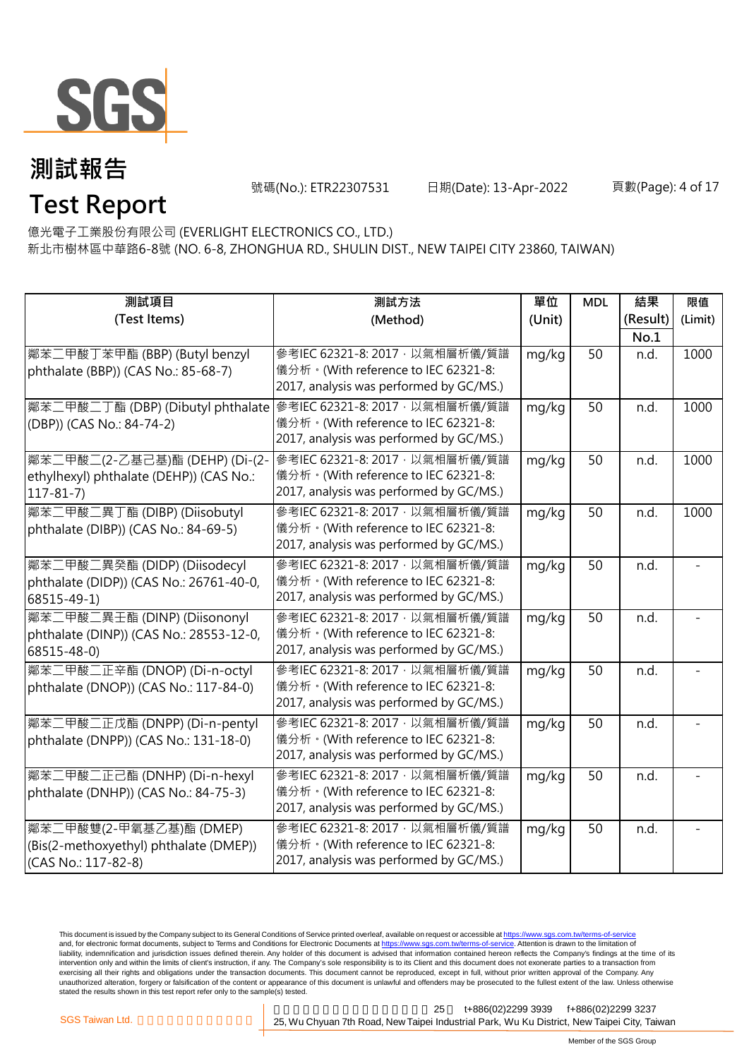

號碼(No.): ETR22307531 日期(Date): 13-Apr-2022 頁數(Page): 4 of 17

# **Test Report**

億光電子工業股份有限公司 (EVERLIGHT ELECTRONICS CO., LTD.) 新北市樹林區中華路6-8號 (NO. 6-8, ZHONGHUA RD., SHULIN DIST., NEW TAIPEI CITY 23860, TAIWAN)

| 測試項目                                                             | 測試方法                                    | 單位     | <b>MDL</b> | 結果       | 限值      |
|------------------------------------------------------------------|-----------------------------------------|--------|------------|----------|---------|
| (Test Items)                                                     | (Method)                                | (Unit) |            | (Result) | (Limit) |
|                                                                  |                                         |        |            | No.1     |         |
| 鄰苯二甲酸丁苯甲酯 (BBP) (Butyl benzyl                                    | 參考IEC 62321-8: 2017, 以氣相層析儀/質譜          | mg/kg  | 50         | n.d.     | 1000    |
| phthalate (BBP)) (CAS No.: 85-68-7)                              | 儀分析。(With reference to IEC 62321-8:     |        |            |          |         |
|                                                                  | 2017, analysis was performed by GC/MS.) |        |            |          |         |
| 鄰苯二甲酸二丁酯 (DBP) (Dibutyl phthalate 參考IEC 62321-8: 2017, 以氣相層析儀/質譜 |                                         | mg/kg  | 50         | n.d.     | 1000    |
| (DBP)) (CAS No.: 84-74-2)                                        | 儀分析。(With reference to IEC 62321-8:     |        |            |          |         |
|                                                                  | 2017, analysis was performed by GC/MS.) |        |            |          |         |
| 鄰苯二甲酸二(2-乙基己基)酯 (DEHP) (Di-(2-                                   | 參考IEC 62321-8: 2017, 以氣相層析儀/質譜          | mg/kg  | 50         | n.d.     | 1000    |
| ethylhexyl) phthalate (DEHP)) (CAS No.:                          | 儀分析。(With reference to IEC 62321-8:     |        |            |          |         |
| $117 - 81 - 7$                                                   | 2017, analysis was performed by GC/MS.) |        |            |          |         |
| 鄰苯二甲酸二異丁酯 (DIBP) (Diisobutyl                                     | 參考IEC 62321-8: 2017, 以氣相層析儀/質譜          | mg/kg  | 50         | n.d.     | 1000    |
| phthalate (DIBP)) (CAS No.: 84-69-5)                             | 儀分析。(With reference to IEC 62321-8:     |        |            |          |         |
|                                                                  | 2017, analysis was performed by GC/MS.) |        |            |          |         |
| 鄰苯二甲酸二異癸酯 (DIDP) (Diisodecyl                                     | 參考IEC 62321-8: 2017, 以氣相層析儀/質譜          | mg/kg  | 50         | n.d.     |         |
| phthalate (DIDP)) (CAS No.: 26761-40-0,                          | 儀分析。(With reference to IEC 62321-8:     |        |            |          |         |
| 68515-49-1)                                                      | 2017, analysis was performed by GC/MS.) |        |            |          |         |
| 鄰苯二甲酸二異壬酯 (DINP) (Diisononyl                                     | 參考IEC 62321-8: 2017 · 以氣相層析儀/質譜         | mg/kg  | 50         | n.d.     |         |
| phthalate (DINP)) (CAS No.: 28553-12-0,                          | 儀分析。(With reference to IEC 62321-8:     |        |            |          |         |
| 68515-48-0)                                                      | 2017, analysis was performed by GC/MS.) |        |            |          |         |
| 鄰苯二甲酸二正辛酯 (DNOP) (Di-n-octyl                                     | 參考IEC 62321-8: 2017, 以氣相層析儀/質譜          | mg/kg  | 50         | n.d.     |         |
| phthalate (DNOP)) (CAS No.: 117-84-0)                            | 儀分析。(With reference to IEC 62321-8:     |        |            |          |         |
|                                                                  | 2017, analysis was performed by GC/MS.) |        |            |          |         |
| 鄰苯二甲酸二正戊酯 (DNPP) (Di-n-pentyl                                    | 參考IEC 62321-8: 2017, 以氣相層析儀/質譜          | mg/kg  | 50         | n.d.     |         |
| phthalate (DNPP)) (CAS No.: 131-18-0)                            | 儀分析。(With reference to IEC 62321-8:     |        |            |          |         |
|                                                                  | 2017, analysis was performed by GC/MS.) |        |            |          |         |
| 鄰苯二甲酸二正己酯 (DNHP) (Di-n-hexyl                                     | 參考IEC 62321-8: 2017, 以氣相層析儀/質譜          | mg/kg  | 50         | n.d.     |         |
| phthalate (DNHP)) (CAS No.: 84-75-3)                             | 儀分析。(With reference to IEC 62321-8:     |        |            |          |         |
|                                                                  | 2017, analysis was performed by GC/MS.) |        |            |          |         |
| 鄰苯二甲酸雙(2-甲氧基乙基)酯 (DMEP)                                          | 參考IEC 62321-8: 2017, 以氣相層析儀/質譜          | mg/kg  | 50         | n.d.     |         |
| (Bis(2-methoxyethyl) phthalate (DMEP))                           | 儀分析。(With reference to IEC 62321-8:     |        |            |          |         |
| (CAS No.: 117-82-8)                                              | 2017, analysis was performed by GC/MS.) |        |            |          |         |

This document is issued by the Company subject to its General Conditions of Service printed overleaf, available on request or accessible at <u>https://www.sgs.com.tw/terms-of-service</u><br>and, for electronic format documents, su liability, indemnification and jurisdiction issues defined therein. Any holder of this document is advised that information contained hereon reflects the Company's findings at the time of its intervention only and within the limits of client's instruction, if any. The Company's sole responsibility is to its Client and this document does not exonerate parties to a transaction from exercising all their rights and obligations under the transaction documents. This document cannot be reproduced, except in full, without prior written approval of the Company. Any<br>unauthorized alteration, forgery or falsif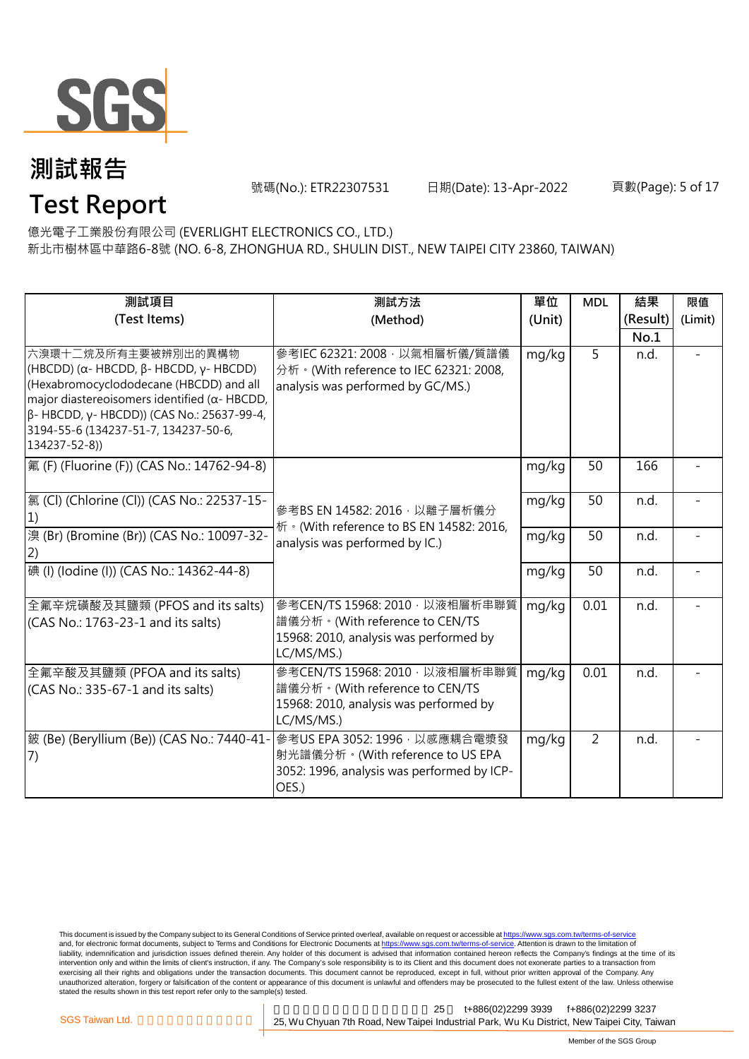

號碼(No.): ETR22307531 日期(Date): 13-Apr-2022 頁數(Page): 5 of 17

# **Test Report**

億光電子工業股份有限公司 (EVERLIGHT ELECTRONICS CO., LTD.) 新北市樹林區中華路6-8號 (NO. 6-8, ZHONGHUA RD., SHULIN DIST., NEW TAIPEI CITY 23860, TAIWAN)

| 測試項目                                                                                                                                                                                                                                                                                             | 測試方法                                                                                                                     | 單位     | <b>MDL</b>     | 結果       | 限值      |
|--------------------------------------------------------------------------------------------------------------------------------------------------------------------------------------------------------------------------------------------------------------------------------------------------|--------------------------------------------------------------------------------------------------------------------------|--------|----------------|----------|---------|
| (Test Items)                                                                                                                                                                                                                                                                                     | (Method)                                                                                                                 | (Unit) |                | (Result) | (Limit) |
|                                                                                                                                                                                                                                                                                                  |                                                                                                                          |        |                | No.1     |         |
| 六溴環十二烷及所有主要被辨別出的異構物<br>(HBCDD) ( $\alpha$ - HBCDD, $\beta$ - HBCDD, $\gamma$ - HBCDD)<br>(Hexabromocyclododecane (HBCDD) and all<br>major diastereoisomers identified ( $\alpha$ - HBCDD,<br>β- HBCDD, γ- HBCDD)) (CAS No.: 25637-99-4,<br>3194-55-6 (134237-51-7, 134237-50-6,<br>134237-52-8)) | 參考IEC 62321: 2008 · 以氣相層析儀/質譜儀<br>分析 · (With reference to IEC 62321: 2008,<br>analysis was performed by GC/MS.)          | mg/kg  | 5              | n.d.     |         |
| 氟 (F) (Fluorine (F)) (CAS No.: 14762-94-8)                                                                                                                                                                                                                                                       |                                                                                                                          | mg/kg  | 50             | 166      |         |
| [氯 (Cl) (Chlorine (Cl)) (CAS No.: 22537-15-<br>1)                                                                                                                                                                                                                                                | 參考BS EN 14582: 2016, 以離子層析儀分<br>析 · (With reference to BS EN 14582: 2016,                                                | mg/kg  | 50             | n.d.     |         |
| 溴 (Br) (Bromine (Br)) (CAS No.: 10097-32-<br>(2)                                                                                                                                                                                                                                                 | analysis was performed by IC.)                                                                                           | mg/kg  | 50             | n.d.     |         |
| 碘 (I) (Iodine (I)) (CAS No.: 14362-44-8)                                                                                                                                                                                                                                                         |                                                                                                                          | mg/kg  | 50             | n.d.     |         |
| 全氟辛烷磺酸及其鹽類 (PFOS and its salts)<br>(CAS No.: 1763-23-1 and its salts)                                                                                                                                                                                                                            | 參考CEN/TS 15968: 2010, 以液相層析串聯質<br>譜儀分析。(With reference to CEN/TS<br>15968: 2010, analysis was performed by<br>LC/MS/MS.) | mg/kg  | 0.01           | n.d.     |         |
| 全氟辛酸及其鹽類 (PFOA and its salts)<br>(CAS No.: 335-67-1 and its salts)                                                                                                                                                                                                                               | 參考CEN/TS 15968: 2010, 以液相層析串聯質<br>譜儀分析。(With reference to CEN/TS<br>15968: 2010, analysis was performed by<br>LC/MS/MS.) | mg/kg  | 0.01           | n.d.     |         |
| 皴 (Be) (Beryllium (Be)) (CAS No.: 7440-41-<br>(7)                                                                                                                                                                                                                                                | 參考US EPA 3052: 1996, 以感應耦合電漿發<br>射光譜儀分析。(With reference to US EPA<br>3052: 1996, analysis was performed by ICP-<br>OES.) | mg/kg  | $\overline{2}$ | n.d.     |         |

This document is issued by the Company subject to its General Conditions of Service printed overleaf, available on request or accessible at <u>https://www.sgs.com.tw/terms-of-service</u><br>and, for electronic format documents, su liability, indemnification and jurisdiction issues defined therein. Any holder of this document is advised that information contained hereon reflects the Company's findings at the time of its intervention only and within the limits of client's instruction, if any. The Company's sole responsibility is to its Client and this document does not exonerate parties to a transaction from exercising all their rights and obligations under the transaction documents. This document cannot be reproduced, except in full, without prior written approval of the Company. Any<br>unauthorized alteration, forgery or falsif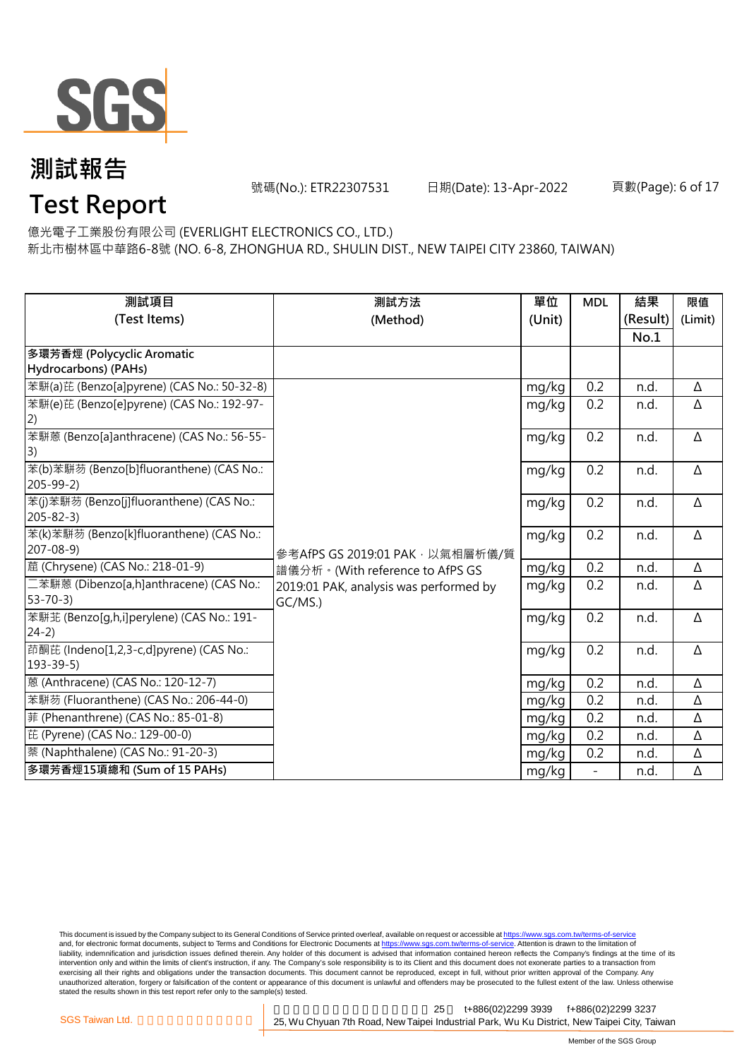

號碼(No.): ETR22307531 日期(Date): 13-Apr-2022 頁數(Page): 6 of 17

# **Test Report**

億光電子工業股份有限公司 (EVERLIGHT ELECTRONICS CO., LTD.)

新北市樹林區中華路6-8號 (NO. 6-8, ZHONGHUA RD., SHULIN DIST., NEW TAIPEI CITY 23860, TAIWAN)

| 測試項目                                       | 測試方法                                   | 單位     | <b>MDL</b>               | 結果       | 限值       |
|--------------------------------------------|----------------------------------------|--------|--------------------------|----------|----------|
| (Test Items)                               | (Method)                               | (Unit) |                          | (Result) | (Limit)  |
|                                            |                                        |        |                          | No.1     |          |
| 多環芳香烴 (Polycyclic Aromatic                 |                                        |        |                          |          |          |
| Hydrocarbons) (PAHs)                       |                                        |        |                          |          |          |
| 苯駢(a)芘 (Benzo[a]pyrene) (CAS No.: 50-32-8) |                                        | mg/kg  | 0.2                      | n.d.     | Δ        |
| 苯駢(e)芘 (Benzo[e]pyrene) (CAS No.: 192-97-  |                                        | mg/kg  | 0.2                      | n.d.     | Δ        |
| $\left( 2\right)$                          |                                        |        |                          |          |          |
| 苯駢蒽 (Benzo[a]anthracene) (CAS No.: 56-55-  |                                        | mg/kg  | 0.2                      | n.d.     | Δ        |
| 3)                                         |                                        |        |                          |          |          |
| 苯(b)苯駢芴 (Benzo[b]fluoranthene) (CAS No.:   |                                        | mg/kg  | 0.2                      | n.d.     | Δ        |
| $205 - 99 - 2$                             |                                        |        |                          |          |          |
| 苯(j)苯駢芴 (Benzo[j]fluoranthene) (CAS No.:   |                                        | mg/kg  | 0.2                      | n.d.     | Δ        |
| $205 - 82 - 3$                             |                                        |        |                          |          |          |
| 苯(k)苯駢芴 (Benzo[k]fluoranthene) (CAS No.:   |                                        | mg/kg  | 0.2                      | n.d.     | Δ        |
| $207 - 08 - 9$                             | 參考AfPS GS 2019:01 PAK · 以氣相層析儀/質       |        |                          |          |          |
| 蔰 (Chrysene) (CAS No.: 218-01-9)           | 譜儀分析。(With reference to AfPS GS        | mg/kg  | 0.2                      | n.d.     | Δ        |
| 二苯駢蒽 (Dibenzo[a,h]anthracene) (CAS No.:    | 2019:01 PAK, analysis was performed by | mg/kg  | 0.2                      | n.d.     | Δ        |
| $53 - 70 - 3$                              | GC/MS.)                                |        |                          |          |          |
| 苯駢苝 (Benzo[g,h,i]perylene) (CAS No.: 191-  |                                        | mg/kg  | 0.2                      | n.d.     | Δ        |
| $24-2)$                                    |                                        |        |                          |          |          |
| 茚酮芘 (Indeno[1,2,3-c,d]pyrene) (CAS No.:    |                                        | mg/kg  | 0.2                      | n.d.     | $\Delta$ |
| $193 - 39 - 5$                             |                                        |        |                          |          |          |
| 蒽 (Anthracene) (CAS No.: 120-12-7)         |                                        | mg/kg  | 0.2                      | n.d.     | Δ        |
| 苯駢芴 (Fluoranthene) (CAS No.: 206-44-0)     |                                        | mg/kg  | 0.2                      | n.d.     | Δ        |
| 菲 (Phenanthrene) (CAS No.: 85-01-8)        |                                        | mg/kg  | 0.2                      | n.d.     | Δ        |
| 芘 (Pyrene) (CAS No.: 129-00-0)             |                                        | mg/kg  | 0.2                      | n.d.     | Δ        |
| 萘 (Naphthalene) (CAS No.: 91-20-3)         |                                        | mg/kg  | 0.2                      | n.d.     | Δ        |
| 多環芳香烴15項總和 (Sum of 15 PAHs)                |                                        | mg/kg  | $\overline{\phantom{0}}$ | n.d.     | Δ        |

This document is issued by the Company subject to its General Conditions of Service printed overleaf, available on request or accessible at <u>https://www.sgs.com.tw/terms-of-service</u><br>and, for electronic format documents, su liability, indemnification and jurisdiction issues defined therein. Any holder of this document is advised that information contained hereon reflects the Company's findings at the time of its intervention only and within the limits of client's instruction, if any. The Company's sole responsibility is to its Client and this document does not exonerate parties to a transaction from exercising all their rights and obligations under the transaction documents. This document cannot be reproduced, except in full, without prior written approval of the Company. Any<br>unauthorized alteration, forgery or falsif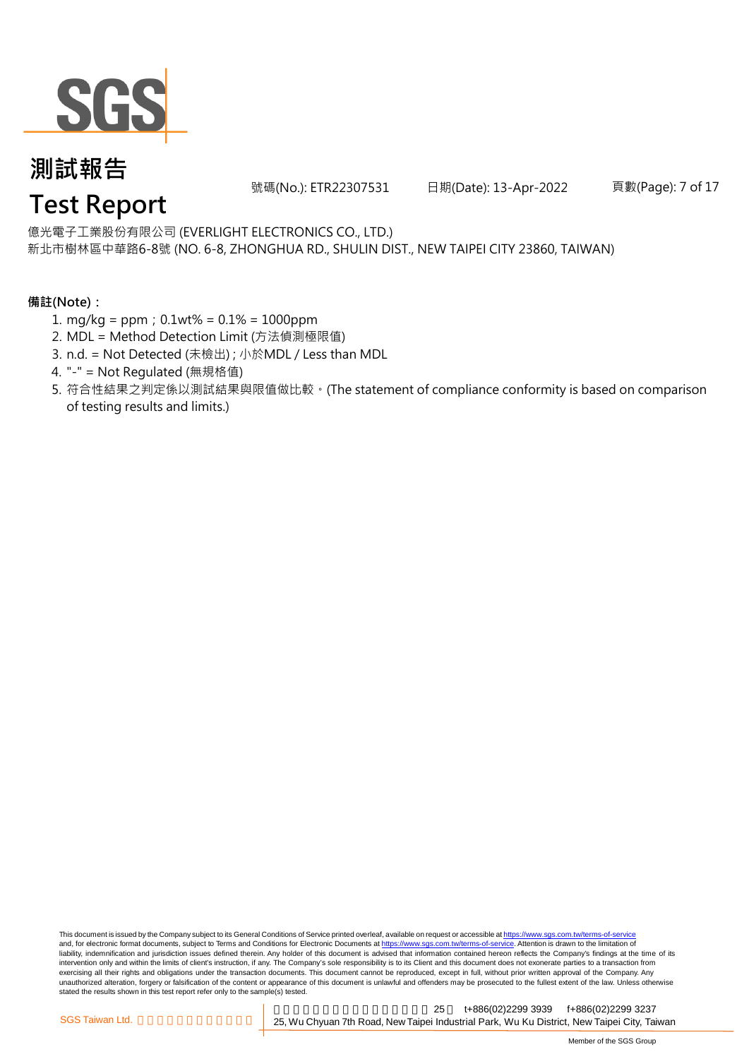

號碼(No.): ETR22307531 日期(Date): 13-Apr-2022 頁數(Page): 7 of 17

億光電子工業股份有限公司 (EVERLIGHT ELECTRONICS CO., LTD.)

新北市樹林區中華路6-8號 (NO. 6-8, ZHONGHUA RD., SHULIN DIST., NEW TAIPEI CITY 23860, TAIWAN)

#### **備註(Note):**

- 1. mg/kg = ppm;0.1wt% = 0.1% = 1000ppm
- 2. MDL = Method Detection Limit (方法偵測極限值)
- 3. n.d. = Not Detected (未檢出) ; 小於MDL / Less than MDL
- 4. "-" = Not Regulated (無規格值)
- 5. 符合性結果之判定係以測試結果與限值做比較。(The statement of compliance conformity is based on comparison of testing results and limits.)

This document is issued by the Company subject to its General Conditions of Service printed overleaf, available on request or accessible at https://www.sgs.com.tw/terms-of-service and, for electronic format documents, subject to Terms and Conditions for Electronic Documents at https://www.sgs.com.tw/terms-of-service. Attention is drawn to the limitation of liability, indemnification and jurisdiction issues defined therein. Any holder of this document is advised that information contained hereon reflects the Company's findings at the time of its intervention only and within the limits of client's instruction, if any. The Company's sole responsibility is to its Client and this document does not exonerate parties to a transaction from exercising all their rights and obligations under the transaction documents. This document cannot be reproduced, except in full, without prior written approval of the Company. Any<br>unauthorized alteration, forgery or falsif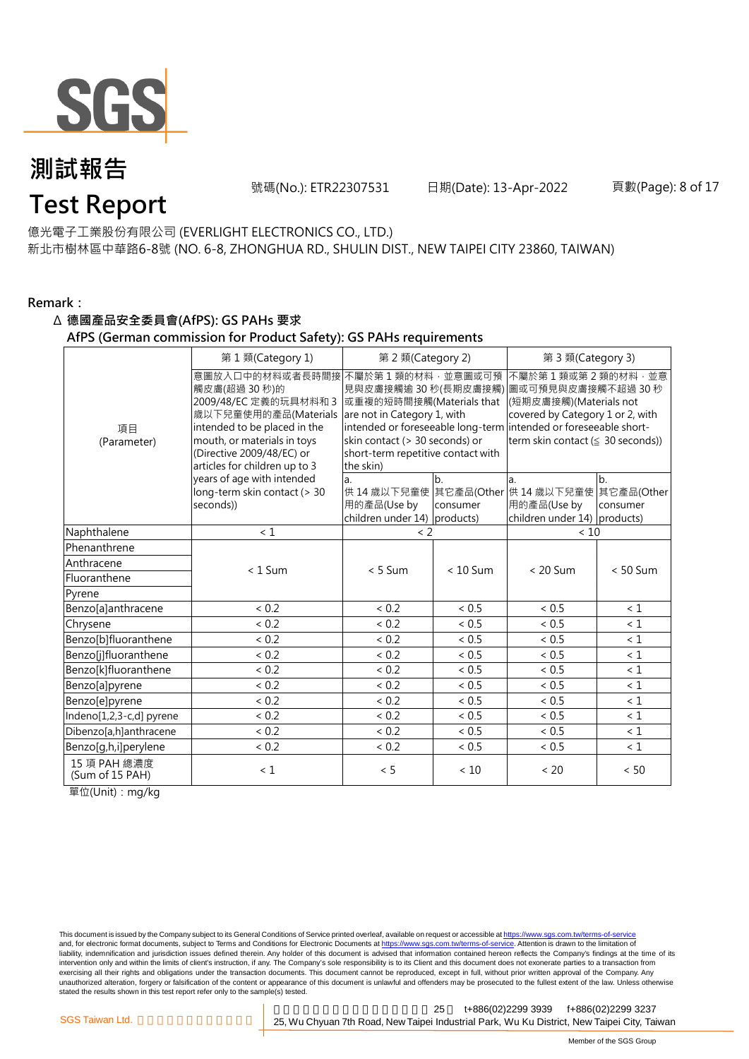

號碼(No.): ETR22307531 日期(Date): 13-Apr-2022 頁數(Page): 8 of 17

#### 億光電子工業股份有限公司 (EVERLIGHT ELECTRONICS CO., LTD.)

新北市樹林區中華路6-8號 (NO. 6-8, ZHONGHUA RD., SHULIN DIST., NEW TAIPEI CITY 23860, TAIWAN)

#### **Remark:**

#### Δ **德國產品安全委員會(AfPS): GS PAHs 要求**

#### **AfPS (German commission for Product Safety): GS PAHs requirements**

|                                 | 第1類(Category 1)                                                                                                                                                                                               | 第 2 類(Category 2)                                                                                                                                                                        |                | 第 3 類(Category 3)                                                                                                                                                                                                   |                |  |
|---------------------------------|---------------------------------------------------------------------------------------------------------------------------------------------------------------------------------------------------------------|------------------------------------------------------------------------------------------------------------------------------------------------------------------------------------------|----------------|---------------------------------------------------------------------------------------------------------------------------------------------------------------------------------------------------------------------|----------------|--|
| 項目<br>(Parameter)               | 意圖放入口中的材料或者長時間接<br>觸皮膚(超過 30秒)的<br>2009/48/EC 定義的玩具材料和 3<br>歲以下兒童使用的產品(Materials<br>intended to be placed in the<br>mouth, or materials in toys<br>(Directive 2009/48/EC) or<br>articles for children up to 3 | 不屬於第1類的材料,並意圖或可預<br>見與皮膚接觸逾 30 秒(長期皮膚接觸)<br>或重複的短時間接觸(Materials that<br>are not in Category 1, with<br>skin contact (> 30 seconds) or<br>short-term repetitive contact with<br>the skin) |                | 不屬於第1類或第2類的材料·並意<br>圖或可預見與皮膚接觸不超過 30 秒<br>(短期皮膚接觸)(Materials not<br>covered by Category 1 or 2, with<br>intended or foreseeable long-term intended or foreseeable short-<br>term skin contact ( $\leq$ 30 seconds)) |                |  |
|                                 | years of age with intended<br>long-term skin contact (> 30<br>seconds))                                                                                                                                       | a.<br>用的產品(Use by<br>children under 14) products)                                                                                                                                        | b.<br>consumer | a.<br>供 14 歳以下兒童使 其它產品(Other 供 14 歳以下兒童使 其它產品(Other<br>用的產品(Use by<br>children under 14) products)                                                                                                                  | b.<br>consumer |  |
| Naphthalene                     | < 1                                                                                                                                                                                                           | $\langle$ 2                                                                                                                                                                              |                | < 10                                                                                                                                                                                                                |                |  |
| Phenanthrene                    |                                                                                                                                                                                                               |                                                                                                                                                                                          |                |                                                                                                                                                                                                                     |                |  |
| Anthracene                      | $< 1$ Sum                                                                                                                                                                                                     | $< 5$ Sum                                                                                                                                                                                | $< 10$ Sum     | $< 20$ Sum                                                                                                                                                                                                          | $< 50$ Sum     |  |
| Fluoranthene                    |                                                                                                                                                                                                               |                                                                                                                                                                                          |                |                                                                                                                                                                                                                     |                |  |
| Pyrene                          |                                                                                                                                                                                                               |                                                                                                                                                                                          |                |                                                                                                                                                                                                                     |                |  |
| Benzo[a]anthracene              | < 0.2                                                                                                                                                                                                         | < 0.2                                                                                                                                                                                    | < 0.5          | < 0.5                                                                                                                                                                                                               | < 1            |  |
| Chrysene                        | < 0.2                                                                                                                                                                                                         | < 0.2                                                                                                                                                                                    | < 0.5          | < 0.5                                                                                                                                                                                                               | $\leq 1$       |  |
| Benzo[b]fluoranthene            | < 0.2                                                                                                                                                                                                         | ${}< 0.2$                                                                                                                                                                                | < 0.5          | ${}< 0.5$                                                                                                                                                                                                           | $\leq 1$       |  |
| Benzo[j]fluoranthene            | < 0.2                                                                                                                                                                                                         | ${}< 0.2$                                                                                                                                                                                | ${}< 0.5$      | < 0.5                                                                                                                                                                                                               | $\leq 1$       |  |
| Benzo[k]fluoranthene            | < 0.2                                                                                                                                                                                                         | < 0.2                                                                                                                                                                                    | < 0.5          | < 0.5                                                                                                                                                                                                               | $\leq 1$       |  |
| Benzo[a]pyrene                  | < 0.2                                                                                                                                                                                                         | < 0.2                                                                                                                                                                                    | < 0.5          | ~< 0.5                                                                                                                                                                                                              | $\leq 1$       |  |
| Benzo[e]pyrene                  | < 0.2                                                                                                                                                                                                         | < 0.2                                                                                                                                                                                    | < 0.5          | < 0.5                                                                                                                                                                                                               | $\leq 1$       |  |
| Indeno[1,2,3-c,d] pyrene        | < 0.2                                                                                                                                                                                                         | < 0.2                                                                                                                                                                                    | < 0.5          | < 0.5                                                                                                                                                                                                               | $\leq 1$       |  |
| Dibenzo[a,h]anthracene          | < 0.2                                                                                                                                                                                                         | < 0.2                                                                                                                                                                                    | < 0.5          | < 0.5                                                                                                                                                                                                               | $\leq 1$       |  |
| Benzo[g,h,i]perylene            | ${}< 0.2$                                                                                                                                                                                                     | < 0.2                                                                                                                                                                                    | < 0.5          | ${}< 0.5$                                                                                                                                                                                                           | $\leq 1$       |  |
| 15 項 PAH 總濃度<br>(Sum of 15 PAH) | < 1                                                                                                                                                                                                           | < 5                                                                                                                                                                                      | < 10           | < 20                                                                                                                                                                                                                | < 50           |  |

單位(Unit):mg/kg

This document is issued by the Company subject to its General Conditions of Service printed overleaf, available on request or accessible at <u>https://www.sgs.com.tw/terms-of-service</u><br>and, for electronic format documents, su liability, indemnification and jurisdiction issues defined therein. Any holder of this document is advised that information contained hereon reflects the Company's findings at the time of its intervention only and within the limits of client's instruction, if any. The Company's sole responsibility is to its Client and this document does not exonerate parties to a transaction from exercising all their rights and obligations under the transaction documents. This document cannot be reproduced, except in full, without prior written approval of the Company. Any<br>unauthorized alteration, forgery or falsif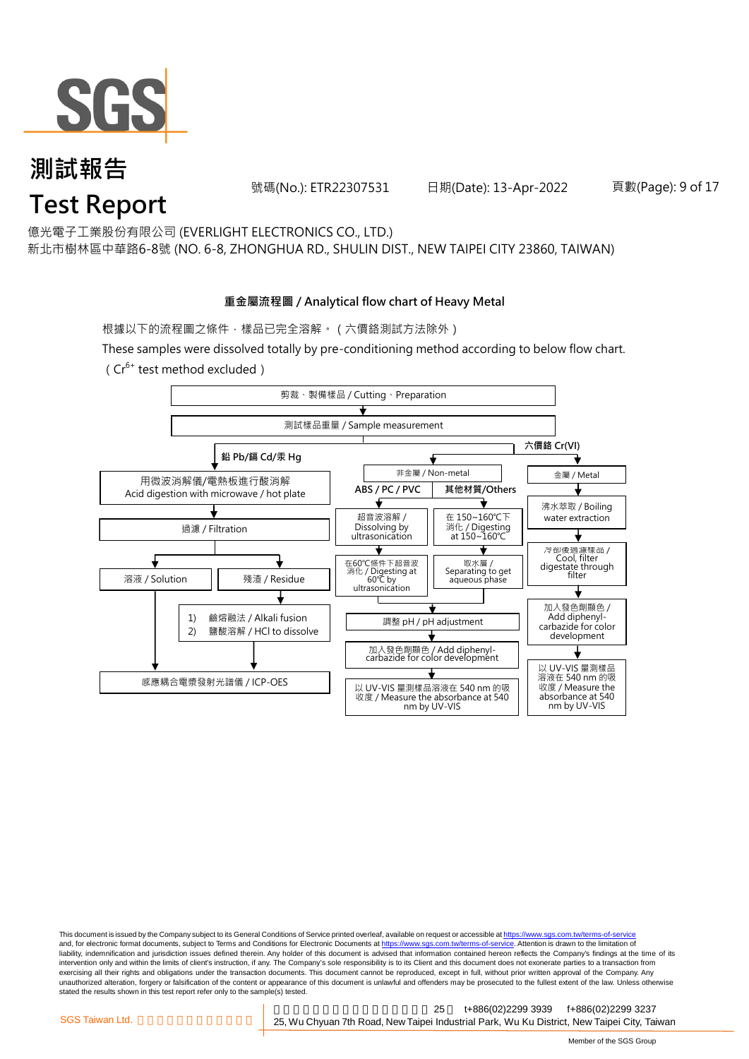

號碼(No.): ETR22307531 日期(Date): 13-Apr-2022 頁數(Page): 9 of 17

億光電子工業股份有限公司 (EVERLIGHT ELECTRONICS CO., LTD.)

新北市樹林區中華路6-8號 (NO. 6-8, ZHONGHUA RD., SHULIN DIST., NEW TAIPEI CITY 23860, TAIWAN)

#### **重金屬流程圖 / Analytical flow chart of Heavy Metal**

根據以下的流程圖之條件,樣品已完全溶解。 (六價鉻測試方法除外)

These samples were dissolved totally by pre-conditioning method according to below flow chart. ( $Cr^{6+}$  test method excluded)



This document is issued by the Company subject to its General Conditions of Service printed overleaf, available on request or accessible at https://www.sgs.com.tw/terms-of-service and, for electronic format documents, subject to Terms and Conditions for Electronic Documents at https://www.sgs.com.tw/terms-of-service. Attention is drawn to the limitation of liability, indemnification and jurisdiction issues defined therein. Any holder of this document is advised that information contained hereon reflects the Company's findings at the time of its intervention only and within the limits of client's instruction, if any. The Company's sole responsibility is to its Client and this document does not exonerate parties to a transaction from exercising all their rights and obligations under the transaction documents. This document cannot be reproduced, except in full, without prior written approval of the Company. Any<br>unauthorized alteration, forgery or falsif stated the results shown in this test report refer only to the sample(s) tested.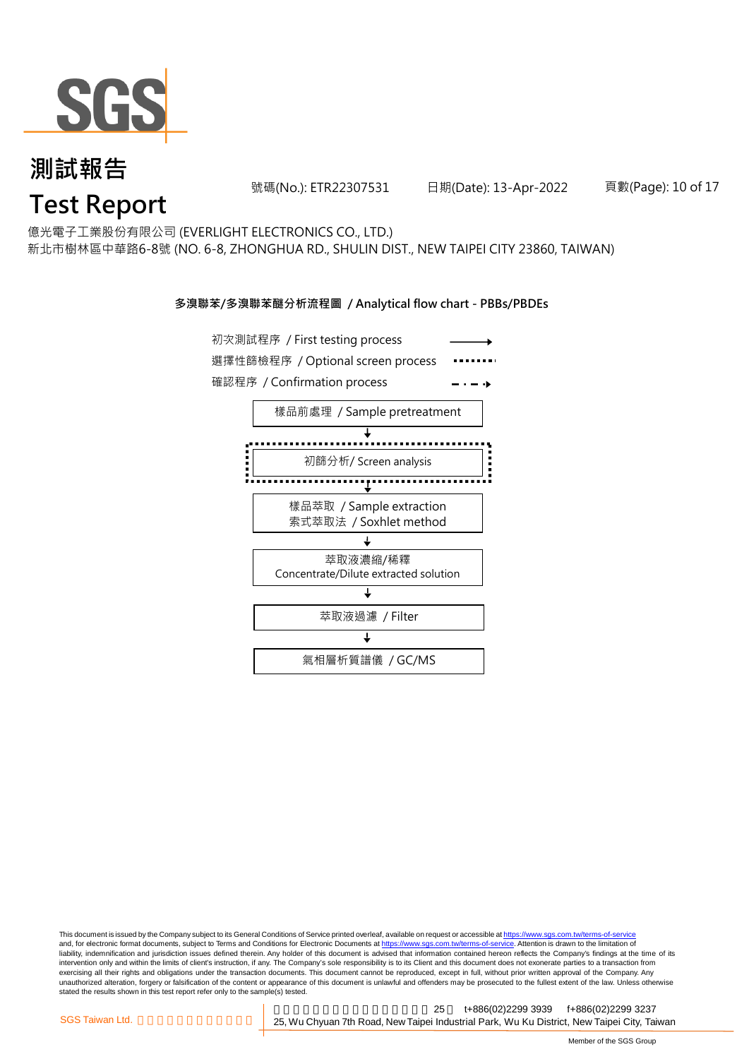

號碼(No.): ETR22307531 日期(Date): 13-Apr-2022 頁數(Page): 10 of 17

億光電子工業股份有限公司 (EVERLIGHT ELECTRONICS CO., LTD.)

新北市樹林區中華路6-8號 (NO. 6-8, ZHONGHUA RD., SHULIN DIST., NEW TAIPEI CITY 23860, TAIWAN)

#### **多溴聯苯/多溴聯苯醚分析流程圖 / Analytical flow chart - PBBs/PBDEs**



This document is issued by the Company subject to its General Conditions of Service printed overleaf, available on request or accessible at https://www.sgs.com.tw/terms-of-service and, for electronic format documents, subject to Terms and Conditions for Electronic Documents at https://www.sgs.com.tw/terms-of-service. Attention is drawn to the limitation of liability, indemnification and jurisdiction issues defined therein. Any holder of this document is advised that information contained hereon reflects the Company's findings at the time of its intervention only and within the limits of client's instruction, if any. The Company's sole responsibility is to its Client and this document does not exonerate parties to a transaction from exercising all their rights and obligations under the transaction documents. This document cannot be reproduced, except in full, without prior written approval of the Company. Any<br>unauthorized alteration, forgery or falsif stated the results shown in this test report refer only to the sample(s) tested.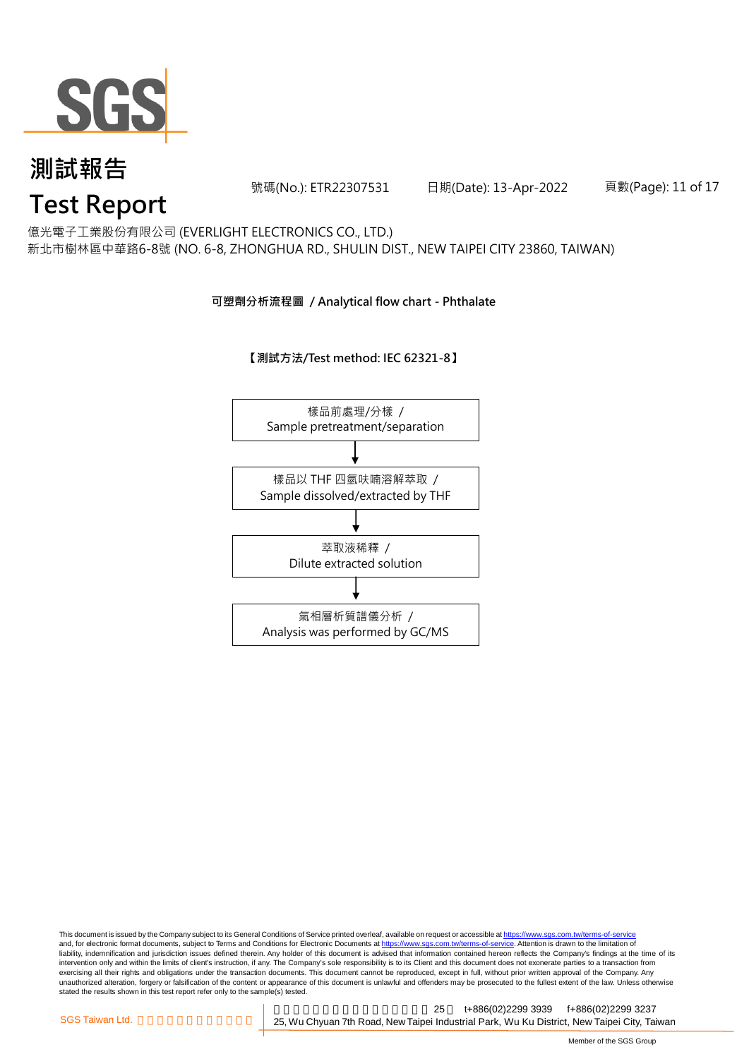

號碼(No.): ETR22307531 日期(Date): 13-Apr-2022 頁數(Page): 11 of 17

億光電子工業股份有限公司 (EVERLIGHT ELECTRONICS CO., LTD.)

新北市樹林區中華路6-8號 (NO. 6-8, ZHONGHUA RD., SHULIN DIST., NEW TAIPEI CITY 23860, TAIWAN)

#### **可塑劑分析流程圖 / Analytical flow chart - Phthalate**

**【測試方法/Test method: IEC 62321-8】**



This document is issued by the Company subject to its General Conditions of Service printed overleaf, available on request or accessible at <u>https://www.sgs.com.tw/terms-of-service</u><br>and, for electronic format documents, su liability, indemnification and jurisdiction issues defined therein. Any holder of this document is advised that information contained hereon reflects the Company's findings at the time of its intervention only and within the limits of client's instruction, if any. The Company's sole responsibility is to its Client and this document does not exonerate parties to a transaction from exercising all their rights and obligations under the transaction documents. This document cannot be reproduced, except in full, without prior written approval of the Company. Any<br>unauthorized alteration, forgery or falsif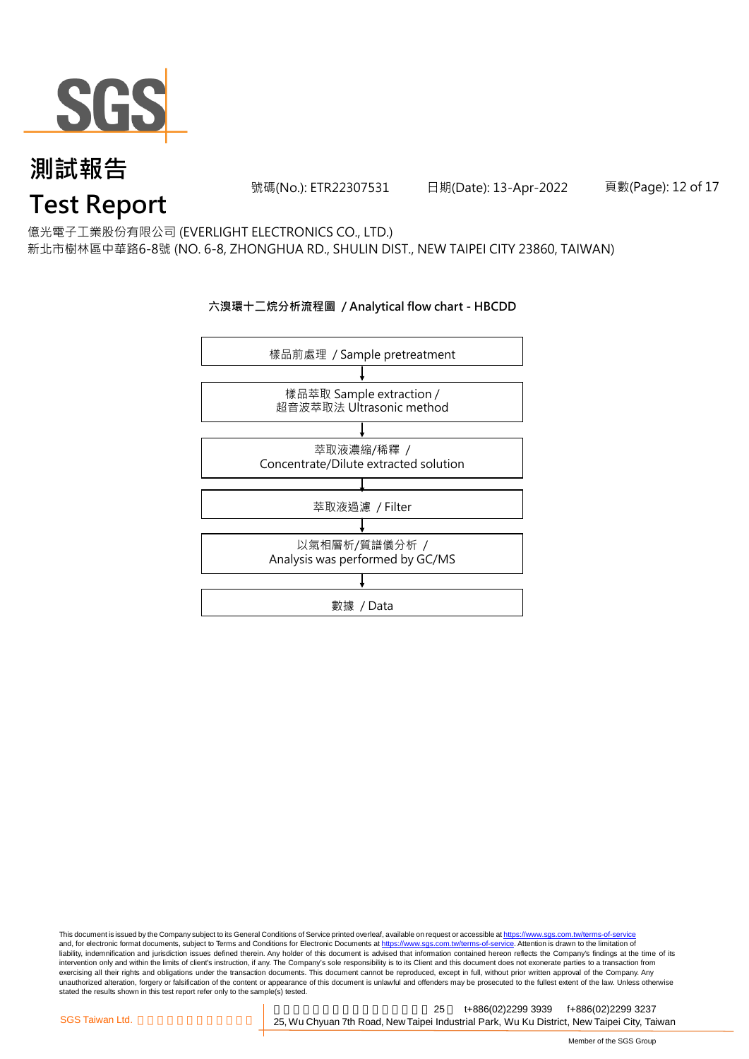

號碼(No.): ETR22307531 日期(Date): 13-Apr-2022 頁數(Page): 12 of 17

億光電子工業股份有限公司 (EVERLIGHT ELECTRONICS CO., LTD.)

新北市樹林區中華路6-8號 (NO. 6-8, ZHONGHUA RD., SHULIN DIST., NEW TAIPEI CITY 23860, TAIWAN)

#### **六溴環十二烷分析流程圖 / Analytical flow chart - HBCDD**



This document is issued by the Company subject to its General Conditions of Service printed overleaf, available on request or accessible at <u>https://www.sgs.com.tw/terms-of-service</u><br>and, for electronic format documents, su liability, indemnification and jurisdiction issues defined therein. Any holder of this document is advised that information contained hereon reflects the Company's findings at the time of its intervention only and within the limits of client's instruction, if any. The Company's sole responsibility is to its Client and this document does not exonerate parties to a transaction from exercising all their rights and obligations under the transaction documents. This document cannot be reproduced, except in full, without prior written approval of the Company. Any<br>unauthorized alteration, forgery or falsif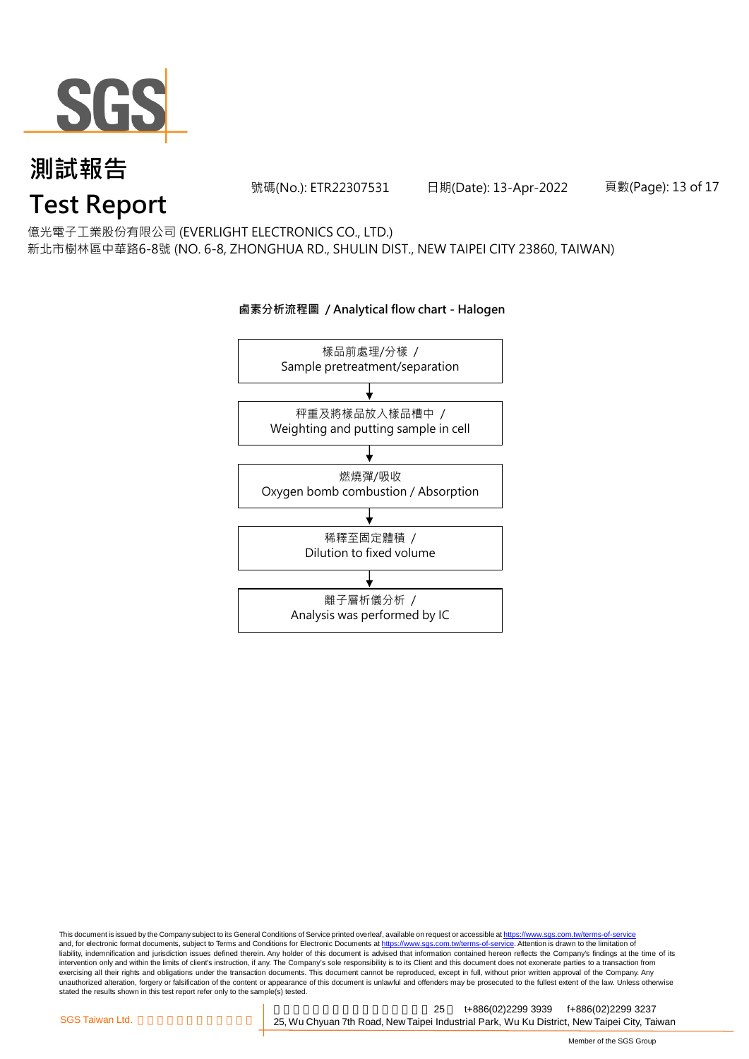

號碼(No.): ETR22307531 日期(Date): 13-Apr-2022 頁數(Page): 13 of 17

億光電子工業股份有限公司 (EVERLIGHT ELECTRONICS CO., LTD.)

新北市樹林區中華路6-8號 (NO. 6-8, ZHONGHUA RD., SHULIN DIST., NEW TAIPEI CITY 23860, TAIWAN)

### 樣品前處理/分樣 / Sample pretreatment/separation 秤重及將樣品放入樣品槽中 / Weighting and putting sample in cell 燃燒彈/吸收 Oxygen bomb combustion / Absorption 離子層析儀分析 / Analysis was performed by IC 稀釋至固定體積 / Dilution to fixed volume

This document is issued by the Company subject to its General Conditions of Service printed overleaf, available on request or accessible at <u>https://www.sgs.com.tw/terms-of-service</u><br>and, for electronic format documents, su liability, indemnification and jurisdiction issues defined therein. Any holder of this document is advised that information contained hereon reflects the Company's findings at the time of its intervention only and within the limits of client's instruction, if any. The Company's sole responsibility is to its Client and this document does not exonerate parties to a transaction from exercising all their rights and obligations under the transaction documents. This document cannot be reproduced, except in full, without prior written approval of the Company. Any<br>unauthorized alteration, forgery or falsif

#### **鹵素分析流程圖 / Analytical flow chart - Halogen**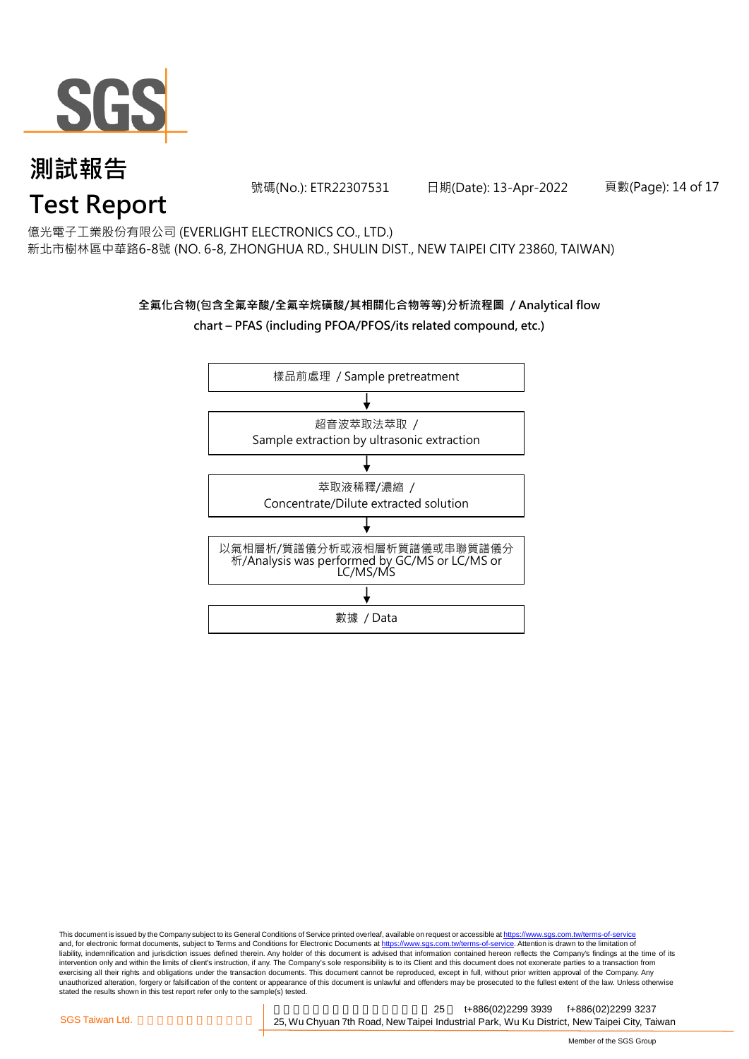

號碼(No.): ETR22307531 日期(Date): 13-Apr-2022 頁數(Page): 14 of 17

億光電子工業股份有限公司 (EVERLIGHT ELECTRONICS CO., LTD.)

新北市樹林區中華路6-8號 (NO. 6-8, ZHONGHUA RD., SHULIN DIST., NEW TAIPEI CITY 23860, TAIWAN)

#### **全氟化合物(包含全氟辛酸/全氟辛烷磺酸/其相關化合物等等)分析流程圖 / Analytical flow chart – PFAS (including PFOA/PFOS/its related compound, etc.)**



This document is issued by the Company subject to its General Conditions of Service printed overleaf, available on request or accessible at https://www.sgs.com.tw/terms-of-service and, for electronic format documents, subject to Terms and Conditions for Electronic Documents at https://www.sgs.com.tw/terms-of-service. Attention is drawn to the limitation of liability, indemnification and jurisdiction issues defined therein. Any holder of this document is advised that information contained hereon reflects the Company's findings at the time of its intervention only and within the limits of client's instruction, if any. The Company's sole responsibility is to its Client and this document does not exonerate parties to a transaction from exercising all their rights and obligations under the transaction documents. This document cannot be reproduced, except in full, without prior written approval of the Company. Any<br>unauthorized alteration, forgery or falsif stated the results shown in this test report refer only to the sample(s) tested.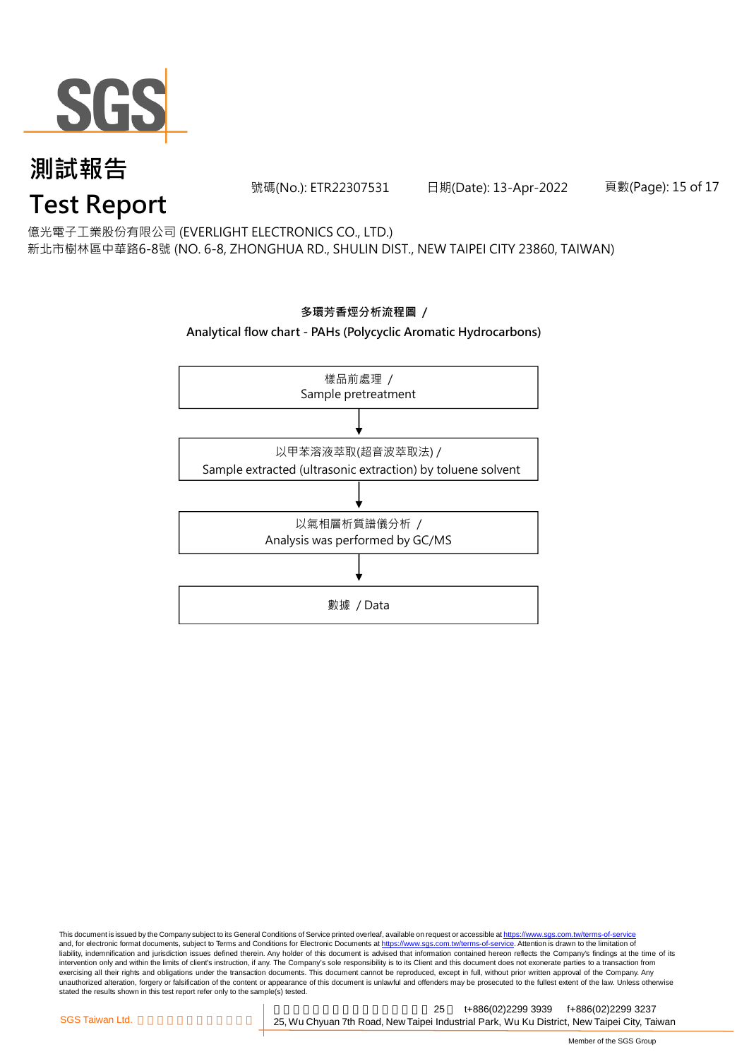

號碼(No.): ETR22307531 日期(Date): 13-Apr-2022 頁數(Page): 15 of 17

億光電子工業股份有限公司 (EVERLIGHT ELECTRONICS CO., LTD.)

新北市樹林區中華路6-8號 (NO. 6-8, ZHONGHUA RD., SHULIN DIST., NEW TAIPEI CITY 23860, TAIWAN)



This document is issued by the Company subject to its General Conditions of Service printed overleaf, available on request or accessible at <u>https://www.sgs.com.tw/terms-of-service</u><br>and, for electronic format documents, su liability, indemnification and jurisdiction issues defined therein. Any holder of this document is advised that information contained hereon reflects the Company's findings at the time of its intervention only and within the limits of client's instruction, if any. The Company's sole responsibility is to its Client and this document does not exonerate parties to a transaction from exercising all their rights and obligations under the transaction documents. This document cannot be reproduced, except in full, without prior written approval of the Company. Any<br>unauthorized alteration, forgery or falsif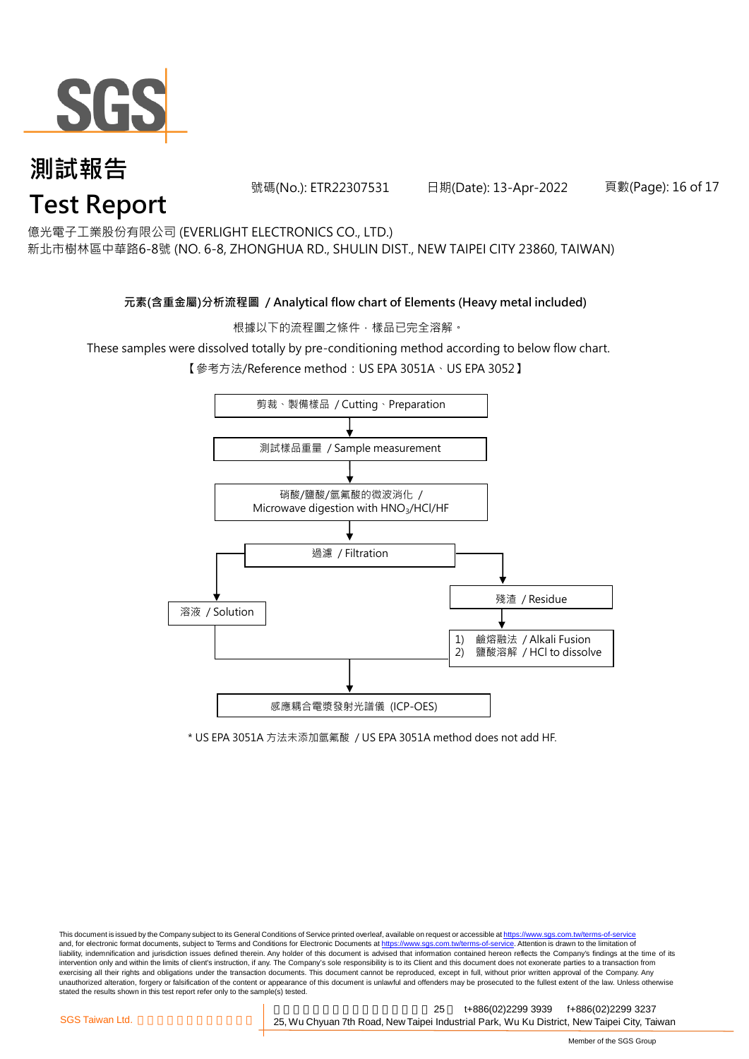

號碼(No.): ETR22307531 日期(Date): 13-Apr-2022 頁數(Page): 16 of 17

億光電子工業股份有限公司 (EVERLIGHT ELECTRONICS CO., LTD.)

新北市樹林區中華路6-8號 (NO. 6-8, ZHONGHUA RD., SHULIN DIST., NEW TAIPEI CITY 23860, TAIWAN)

#### **元素(含重金屬)分析流程圖 / Analytical flow chart of Elements (Heavy metal included)**

根據以下的流程圖之條件,樣品已完全溶解。

These samples were dissolved totally by pre-conditioning method according to below flow chart.

【參考方法/Reference method:US EPA 3051A、US EPA 3052】



\* US EPA 3051A 方法未添加氫氟酸 / US EPA 3051A method does not add HF.

This document is issued by the Company subject to its General Conditions of Service printed overleaf, available on request or accessible at https://www.sgs.com.tw/terms-of-service and, for electronic format documents, subject to Terms and Conditions for Electronic Documents at https://www.sgs.com.tw/terms-of-service. Attention is drawn to the limitation of liability, indemnification and jurisdiction issues defined therein. Any holder of this document is advised that information contained hereon reflects the Company's findings at the time of its intervention only and within the limits of client's instruction, if any. The Company's sole responsibility is to its Client and this document does not exonerate parties to a transaction from exercising all their rights and obligations under the transaction documents. This document cannot be reproduced, except in full, without prior written approval of the Company. Any<br>unauthorized alteration, forgery or falsif stated the results shown in this test report refer only to the sample(s) tested.